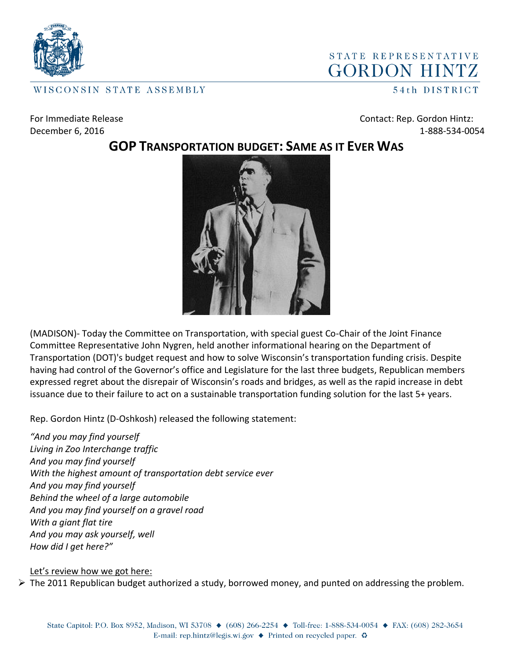

## STATE REPRESENTATIVE **GORDON HINTZ**

WISCONSIN STATE ASSEMBLY

54th DISTRICT

For Immediate Release **Contact: Rep. Gordon Hintz:** December 6, 2016 1-888-534-0054

## **GOP TRANSPORTATION BUDGET: SAME AS IT EVER WAS**



(MADISON)- Today the Committee on Transportation, with special guest Co-Chair of the Joint Finance Committee Representative John Nygren, held another informational hearing on the Department of Transportation (DOT)'s budget request and how to solve Wisconsin's transportation funding crisis. Despite having had control of the Governor's office and Legislature for the last three budgets, Republican members expressed regret about the disrepair of Wisconsin's roads and bridges, as well as the rapid increase in debt issuance due to their failure to act on a sustainable transportation funding solution for the last 5+ years.

Rep. Gordon Hintz (D-Oshkosh) released the following statement:

*"And you may find yourself Living in Zoo Interchange traffic And you may find yourself With the highest amount of transportation debt service ever And you may find yourself Behind the wheel of a large automobile And you may find yourself on a gravel road With a giant flat tire And you may ask yourself, well How did I get here?"*

## Let's review how we got here:

 $\triangleright$  The 2011 Republican budget authorized a study, borrowed money, and punted on addressing the problem.